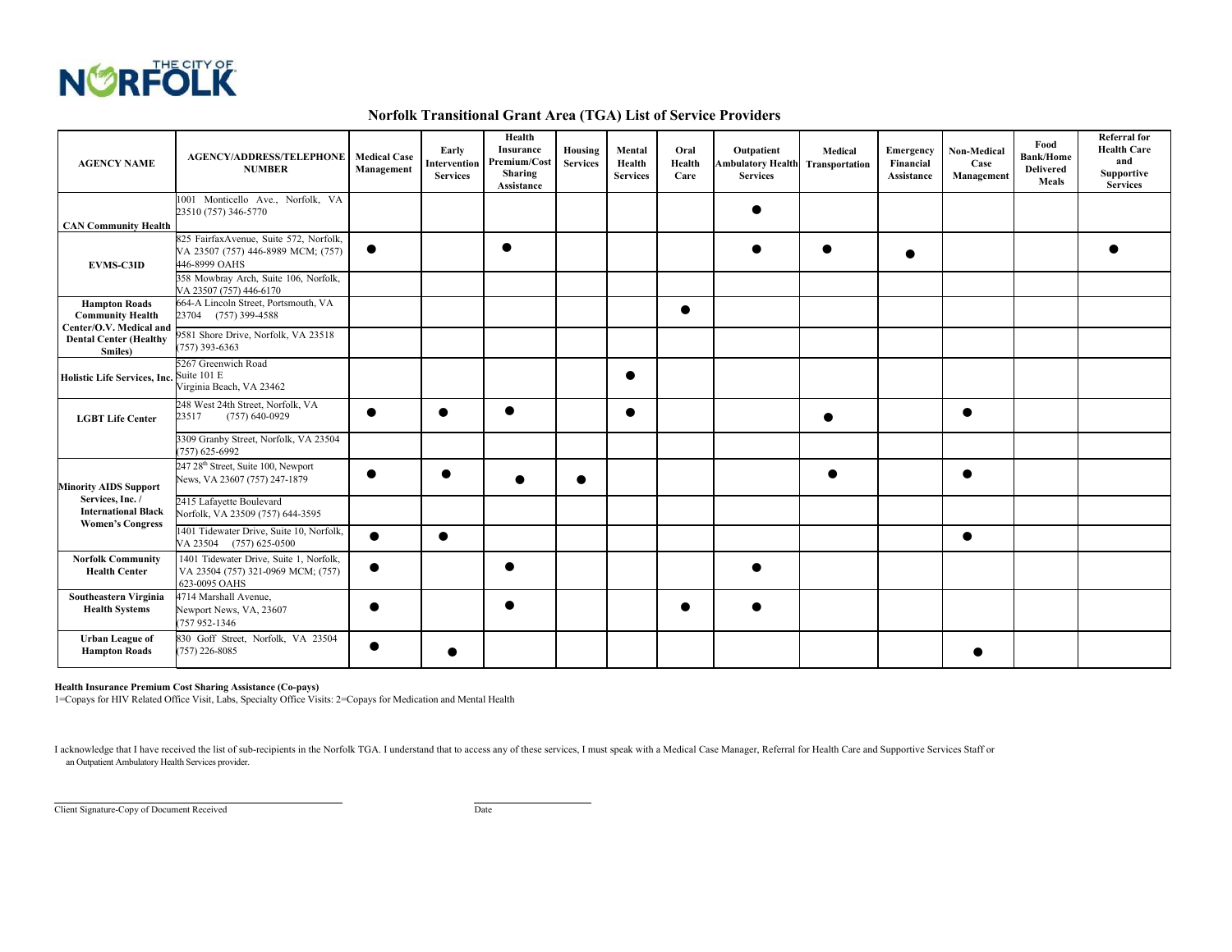

## **Norfolk Transitional Grant Area (TGA) List of Service Providers**

| <b>AGENCY NAME</b>                                                                                                     | <b>AGENCY/ADDRESS/TELEPHONE   Medical Case</b><br><b>NUMBER</b>                                | Management | Early<br>Intervention<br><b>Services</b> | Health<br>Insurance<br>Premium/Cost<br>Sharing<br>Assistance | Housing<br><b>Services</b> | Mental<br>Health<br><b>Services</b> | Oral<br>Health<br>Care | Outpatient<br><b>Ambulatory Health Transportation</b><br><b>Services</b> | Medical | Emergency<br>Financial<br>Assistance | Non-Medical<br>Case<br>Management | Food<br><b>Bank/Home</b><br><b>Delivered</b><br>Meals | <b>Referral</b> for<br><b>Health Care</b><br>and<br><b>Supportive</b><br><b>Services</b> |
|------------------------------------------------------------------------------------------------------------------------|------------------------------------------------------------------------------------------------|------------|------------------------------------------|--------------------------------------------------------------|----------------------------|-------------------------------------|------------------------|--------------------------------------------------------------------------|---------|--------------------------------------|-----------------------------------|-------------------------------------------------------|------------------------------------------------------------------------------------------|
| <b>CAN Community Health</b>                                                                                            | 1001 Monticello Ave., Norfolk, VA<br>23510 (757) 346-5770                                      |            |                                          |                                                              |                            |                                     |                        |                                                                          |         |                                      |                                   |                                                       |                                                                                          |
| <b>EVMS-C3ID</b>                                                                                                       | 825 FairfaxAvenue, Suite 572, Norfolk,<br>VA 23507 (757) 446-8989 MCM; (757)<br>446-8999 OAHS  |            |                                          |                                                              |                            |                                     |                        |                                                                          |         |                                      |                                   |                                                       |                                                                                          |
|                                                                                                                        | 358 Mowbray Arch, Suite 106, Norfolk,<br>VA 23507 (757) 446-6170                               |            |                                          |                                                              |                            |                                     |                        |                                                                          |         |                                      |                                   |                                                       |                                                                                          |
| <b>Hampton Roads</b><br><b>Community Health</b><br>Center/O.V. Medical and<br><b>Dental Center (Healthy</b><br>Smiles) | 664-A Lincoln Street, Portsmouth, VA<br>23704 (757) 399-4588                                   |            |                                          |                                                              |                            |                                     |                        |                                                                          |         |                                      |                                   |                                                       |                                                                                          |
|                                                                                                                        | 9581 Shore Drive, Norfolk, VA 23518<br>757) 393-6363                                           |            |                                          |                                                              |                            |                                     |                        |                                                                          |         |                                      |                                   |                                                       |                                                                                          |
| <b>Holistic Life Services, Inc.</b>                                                                                    | 5267 Greenwich Road<br>Suite 101 E<br>Virginia Beach, VA 23462                                 |            |                                          |                                                              |                            |                                     |                        |                                                                          |         |                                      |                                   |                                                       |                                                                                          |
| <b>LGBT Life Center</b>                                                                                                | 248 West 24th Street, Norfolk, VA<br>23517<br>$(757)$ 640-0929                                 |            |                                          |                                                              |                            | $\bullet$                           |                        |                                                                          |         |                                      |                                   |                                                       |                                                                                          |
|                                                                                                                        | 3309 Granby Street, Norfolk, VA 23504<br>757) 625-6992                                         |            |                                          |                                                              |                            |                                     |                        |                                                                          |         |                                      |                                   |                                                       |                                                                                          |
| <b>Minority AIDS Support</b><br>Services, Inc. /<br><b>International Black</b><br><b>Women's Congress</b>              | 247 28 <sup>th</sup> Street, Suite 100, Newport<br>News, VA 23607 (757) 247-1879               |            |                                          |                                                              |                            |                                     |                        |                                                                          |         |                                      |                                   |                                                       |                                                                                          |
|                                                                                                                        | 2415 Lafayette Boulevard<br>Norfolk, VA 23509 (757) 644-3595                                   |            |                                          |                                                              |                            |                                     |                        |                                                                          |         |                                      |                                   |                                                       |                                                                                          |
|                                                                                                                        | 1401 Tidewater Drive, Suite 10, Norfolk,<br>VA 23504 (757) 625-0500                            | $\bullet$  | $\bullet$                                |                                                              |                            |                                     |                        |                                                                          |         |                                      | ●                                 |                                                       |                                                                                          |
| <b>Norfolk Community</b><br><b>Health Center</b>                                                                       | 1401 Tidewater Drive, Suite 1, Norfolk,<br>VA 23504 (757) 321-0969 MCM; (757)<br>623-0095 OAHS | $\bullet$  |                                          | ●                                                            |                            |                                     |                        |                                                                          |         |                                      |                                   |                                                       |                                                                                          |
| Southeastern Virginia<br><b>Health Systems</b>                                                                         | 4714 Marshall Avenue.<br>Newport News, VA, 23607<br>757 952-1346                               |            |                                          |                                                              |                            |                                     |                        |                                                                          |         |                                      |                                   |                                                       |                                                                                          |
| <b>Urban League of</b><br><b>Hampton Roads</b>                                                                         | 830 Goff Street, Norfolk, VA 23504<br>757) 226-8085                                            |            |                                          |                                                              |                            |                                     |                        |                                                                          |         |                                      |                                   |                                                       |                                                                                          |

## **Health Insurance Premium Cost Sharing Assistance (Co-pays)**

1=Copays for HIV Related Office Visit, Labs, Specialty Office Visits: 2=Copays for Medication and Mental Health

I acknowledge that I have received the list of sub-recipients in the Norfolk TGA. I understand that to access any of these services, I must speak with a Medical Case Manager, Referral for Health Care and Supportive Service an Outpatient Ambulatory Health Services provider.

Client Signature-Copy of Document Received Date